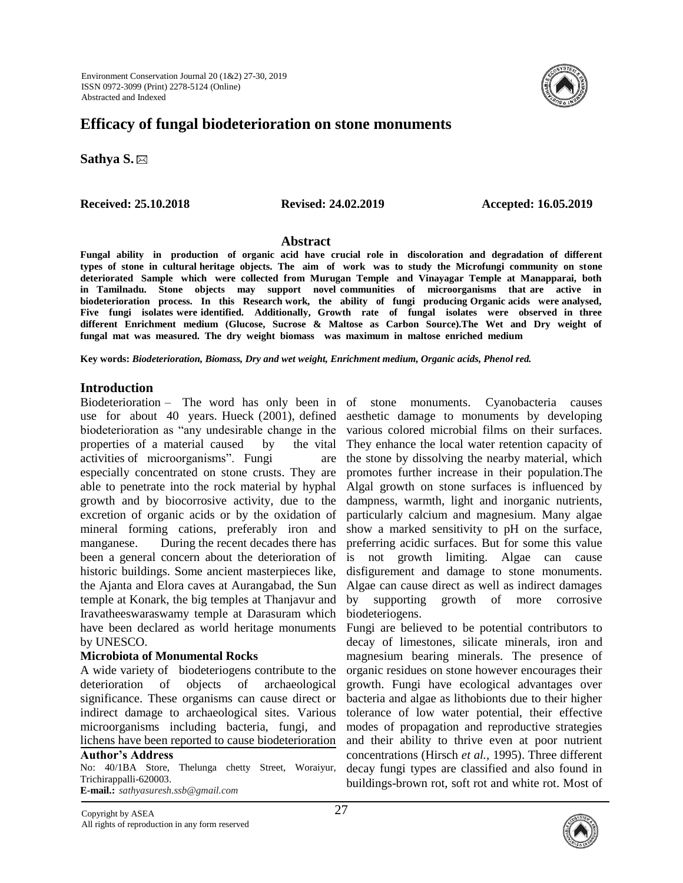

**Sathya S.**

**Received: 25.10.2018 Revised: 24.02.2019 Accepted: 16.05.2019**

#### **Abstract**

**Fungal ability in production of organic acid have crucial role in discoloration and degradation of different types of stone in cultural heritage objects. The aim of work was to study the Microfungi community on stone deteriorated Sample which were collected from Murugan Temple and Vinayagar Temple at Manapparai, both in Tamilnadu. Stone objects may support novel communities of microorganisms that are active in biodeterioration process. In this Research work, the ability of fungi producing Organic acids were analysed, Five fungi isolates were identified. Additionally, Growth rate of fungal isolates were observed in three different Enrichment medium (Glucose, Sucrose & Maltose as Carbon Source).The Wet and Dry weight of fungal mat was measured. The dry weight biomass was maximum in maltose enriched medium** 

**Key words:** *Biodeterioration, Biomass, Dry and wet weight, Enrichment medium, Organic acids, Phenol red.*

## **Introduction**

Biodeterioration – The word has only been in of use for about 40 years. Hueck (2001), defined biodeterioration as "any undesirable change in the properties of a material caused by the vital activities of microorganisms". Fungi are especially concentrated on stone crusts. They are able to penetrate into the rock material by hyphal growth and by biocorrosive activity, due to the excretion of organic acids or by the oxidation of mineral forming cations, preferably iron and manganese. During the recent decades there has been a general concern about the deterioration of historic buildings. Some ancient masterpieces like, the Ajanta and Elora caves at Aurangabad, the Sun temple at Konark, the big temples at Thanjavur and Iravatheeswaraswamy temple at Darasuram which have been declared as world heritage monuments by UNESCO.

## **Microbiota of Monumental Rocks**

A wide variety of biodeteriogens contribute to the deterioration of objects of archaeological significance. These organisms can cause direct or indirect damage to archaeological sites. Various microorganisms including bacteria, fungi, and lichens have been reported to cause biodeterioration

## **Author's Address**

No: 40/1BA Store, Thelunga chetty Street, Woraiyur, Trichirappalli-620003. **E-mail.:** *sathyasuresh.ssb@gmail.com*

stone monuments. Cyanobacteria causes aesthetic damage to monuments by developing various colored microbial films on their surfaces. They enhance the local water retention capacity of the stone by dissolving the nearby material, which promotes further increase in their population.The Algal growth on stone surfaces is influenced by dampness, warmth, light and inorganic nutrients, particularly calcium and magnesium. Many algae show a marked sensitivity to pH on the surface, preferring acidic surfaces. But for some this value is not growth limiting. Algae can cause disfigurement and damage to stone monuments. Algae can cause direct as well as indirect damages by supporting growth of more corrosive biodeteriogens.

Fungi are believed to be potential contributors to decay of limestones, silicate minerals, iron and magnesium bearing minerals. The presence of organic residues on stone however encourages their growth. Fungi have ecological advantages over bacteria and algae as lithobionts due to their higher tolerance of low water potential, their effective modes of propagation and reproductive strategies and their ability to thrive even at poor nutrient concentrations (Hirsch *et al.,* 1995). Three different decay fungi types are classified and also found in buildings-brown rot, soft rot and white rot. Most of



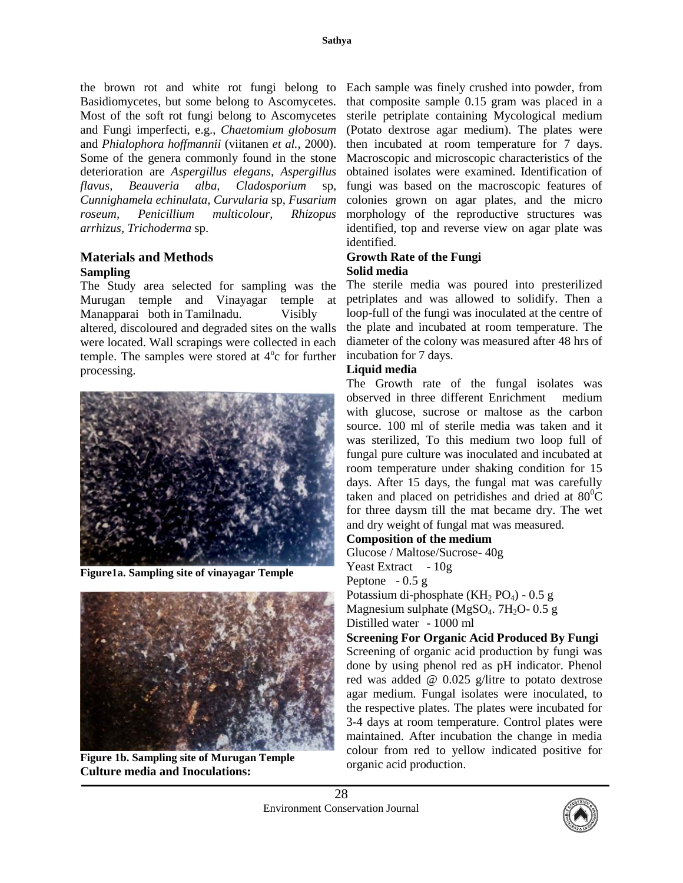the brown rot and white rot fungi belong to Each sample was finely crushed into powder, from Basidiomycetes, but some belong to Ascomycetes. Most of the soft rot fungi belong to Ascomycetes and Fungi imperfecti, e.g., *Chaetomium globosum* and *Phialophora hoffmannii* (viitanen *et al.,* 2000). Some of the genera commonly found in the stone deterioration are *Aspergillus elegans*, *Aspergillus flavus, Beauveria alba, Cladosporium* sp*, Cunnighamela echinulata, Curvularia* sp*, Fusarium roseum, Penicillium multicolour, Rhizopus arrhizus, Trichoderma* sp.

## **Materials and Methods Sampling**

The Study area selected for sampling was the Murugan temple and Vinayagar temple at Manapparai both in Tamilnadu. Visibly altered, discoloured and degraded sites on the walls were located. Wall scrapings were collected in each temple. The samples were stored at  $4^\circ$ c for further processing.



**Figure1a. Sampling site of vinayagar Temple** 



**Figure 1b. Sampling site of Murugan Temple Culture media and Inoculations:**

that composite sample 0.15 gram was placed in a sterile petriplate containing Mycological medium (Potato dextrose agar medium). The plates were then incubated at room temperature for 7 days. Macroscopic and microscopic characteristics of the obtained isolates were examined. Identification of fungi was based on the macroscopic features of colonies grown on agar plates, and the micro morphology of the reproductive structures was identified, top and reverse view on agar plate was identified.

# **Growth Rate of the Fungi Solid media**

The sterile media was poured into presterilized petriplates and was allowed to solidify. Then a loop-full of the fungi was inoculated at the centre of the plate and incubated at room temperature. The diameter of the colony was measured after 48 hrs of incubation for 7 days.

## **Liquid media**

The Growth rate of the fungal isolates was observed in three different Enrichment medium with glucose, sucrose or maltose as the carbon source. 100 ml of sterile media was taken and it was sterilized, To this medium two loop full of fungal pure culture was inoculated and incubated at room temperature under shaking condition for 15 days. After 15 days, the fungal mat was carefully taken and placed on petridishes and dried at  $80^{\circ}$ C for three daysm till the mat became dry. The wet and dry weight of fungal mat was measured.

## **Composition of the medium**

Glucose / Maltose/Sucrose- 40g Yeast Extract - 10g Peptone  $-0.5$  g Potassium di-phosphate  $(KH<sub>2</sub> PO<sub>4</sub>)$  - 0.5 g Magnesium sulphate ( $MgSO<sub>4</sub>$ . 7H<sub>2</sub>O- 0.5 g Distilled water - 1000 ml **Screening For Organic Acid Produced By Fungi**

Screening of organic acid production by fungi was done by using phenol red as pH indicator. Phenol red was added @ 0.025 g/litre to potato dextrose agar medium. Fungal isolates were inoculated, to the respective plates. The plates were incubated for 3-4 days at room temperature. Control plates were maintained. After incubation the change in media colour from red to yellow indicated positive for organic acid production.

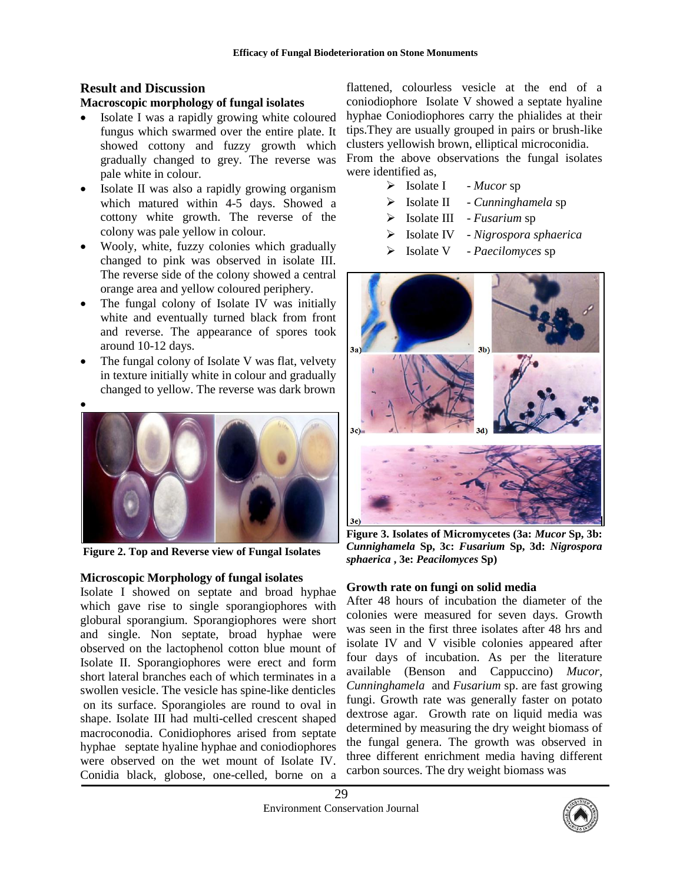# **Result and Discussion**

## **Macroscopic morphology of fungal isolates**

- Isolate I was a rapidly growing white coloured fungus which swarmed over the entire plate. It showed cottony and fuzzy growth which gradually changed to grey. The reverse was pale white in colour.
- Isolate II was also a rapidly growing organism which matured within 4-5 days. Showed a cottony white growth. The reverse of the colony was pale yellow in colour.
- Wooly, white, fuzzy colonies which gradually changed to pink was observed in isolate III. The reverse side of the colony showed a central orange area and yellow coloured periphery.
- The fungal colony of Isolate IV was initially white and eventually turned black from front and reverse. The appearance of spores took around 10-12 days.
- The fungal colony of Isolate V was flat, velvety in texture initially white in colour and gradually changed to yellow. The reverse was dark brown
- $\bullet$



**Figure 2. Top and Reverse view of Fungal Isolates**

## **Microscopic Morphology of fungal isolates**

Isolate I showed on septate and broad hyphae which gave rise to single sporangiophores with globural sporangium. Sporangiophores were short and single. Non septate, broad hyphae were observed on the lactophenol cotton blue mount of Isolate II. Sporangiophores were erect and form short lateral branches each of which terminates in a swollen vesicle. The vesicle has spine-like denticles on its surface. Sporangioles are round to oval in shape. Isolate III had multi-celled crescent shaped macroconodia. Conidiophores arised from septate hyphae septate hyaline hyphae and coniodiophores were observed on the wet mount of Isolate IV. Conidia black, globose, one-celled, borne on a

flattened, colourless vesicle at the end of a coniodiophore Isolate V showed a septate hyaline hyphae Coniodiophores carry the phialides at their tips.They are usually grouped in pairs or brush-like clusters yellowish brown, elliptical microconidia.

From the above observations the fungal isolates were identified as,

- > Isolate I *Mucor* sp
- Isolate II *Cunninghamela* sp
- Isolate III *Fusarium* sp
- Isolate IV *Nigrospora sphaerica*
- Isolate V *Paecilomyces* sp



**Figure 3. Isolates of Micromycetes (3a:** *Mucor* **Sp, 3b:**  *Cunnighamela* **Sp, 3c:** *Fusarium* **Sp, 3d:** *Nigrospora sphaerica* **, 3e:** *Peacilomyces* **Sp)**

## **Growth rate on fungi on solid media**

After 48 hours of incubation the diameter of the colonies were measured for seven days. Growth was seen in the first three isolates after 48 hrs and isolate IV and V visible colonies appeared after four days of incubation. As per the literature available (Benson and Cappuccino) *Mucor, Cunninghamela* and *Fusarium* sp. are fast growing fungi. Growth rate was generally faster on potato dextrose agar. Growth rate on liquid media was determined by measuring the dry weight biomass of the fungal genera. The growth was observed in three different enrichment media having different carbon sources. The dry weight biomass was